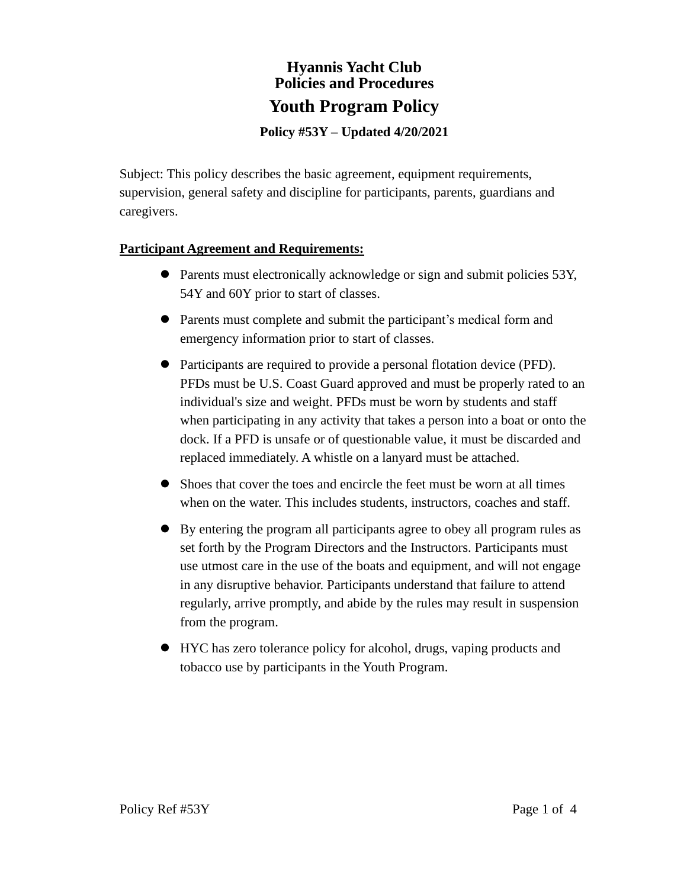# **Hyannis Yacht Club Policies and Procedures Youth Program Policy**

**Policy #53Y – Updated 4/20/2021**

Subject: This policy describes the basic agreement, equipment requirements, supervision, general safety and discipline for participants, parents, guardians and caregivers.

# **Participant Agreement and Requirements:**

- ⚫ Parents must electronically acknowledge or sign and submit policies 53Y, 54Y and 60Y prior to start of classes.
- ⚫ Parents must complete and submit the participant's medical form and emergency information prior to start of classes.
- ⚫ Participants are required to provide a personal flotation device (PFD). PFDs must be U.S. Coast Guard approved and must be properly rated to an individual's size and weight. PFDs must be worn by students and staff when participating in any activity that takes a person into a boat or onto the dock. If a PFD is unsafe or of questionable value, it must be discarded and replaced immediately. A whistle on a lanyard must be attached.
- ⚫ Shoes that cover the toes and encircle the feet must be worn at all times when on the water. This includes students, instructors, coaches and staff.
- ⚫ By entering the program all participants agree to obey all program rules as set forth by the Program Directors and the Instructors. Participants must use utmost care in the use of the boats and equipment, and will not engage in any disruptive behavior. Participants understand that failure to attend regularly, arrive promptly, and abide by the rules may result in suspension from the program.
- ⚫ HYC has zero tolerance policy for alcohol, drugs, vaping products and tobacco use by participants in the Youth Program.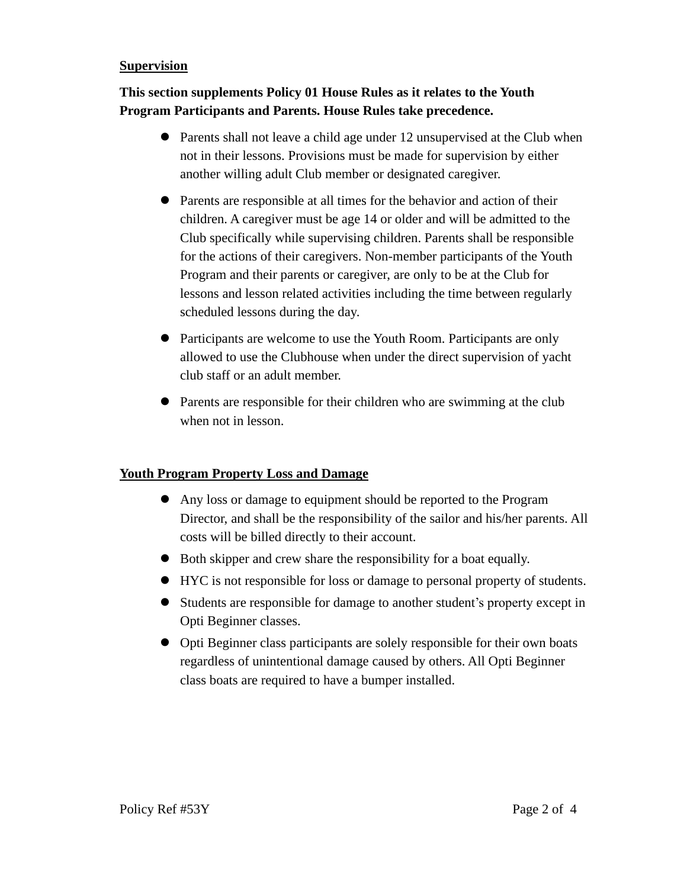#### **Supervision**

# **This section supplements Policy 01 House Rules as it relates to the Youth Program Participants and Parents. House Rules take precedence.**

- ⚫ Parents shall not leave a child age under 12 unsupervised at the Club when not in their lessons. Provisions must be made for supervision by either another willing adult Club member or designated caregiver.
- ⚫ Parents are responsible at all times for the behavior and action of their children. A caregiver must be age 14 or older and will be admitted to the Club specifically while supervising children. Parents shall be responsible for the actions of their caregivers. Non-member participants of the Youth Program and their parents or caregiver, are only to be at the Club for lessons and lesson related activities including the time between regularly scheduled lessons during the day.
- ⚫ Participants are welcome to use the Youth Room. Participants are only allowed to use the Clubhouse when under the direct supervision of yacht club staff or an adult member.
- ⚫ Parents are responsible for their children who are swimming at the club when not in lesson.

#### **Youth Program Property Loss and Damage**

- ⚫ Any loss or damage to equipment should be reported to the Program Director, and shall be the responsibility of the sailor and his/her parents. All costs will be billed directly to their account.
- ⚫ Both skipper and crew share the responsibility for a boat equally.
- ⚫ HYC is not responsible for loss or damage to personal property of students.
- ⚫ Students are responsible for damage to another student's property except in Opti Beginner classes.
- ⚫ Opti Beginner class participants are solely responsible for their own boats regardless of unintentional damage caused by others. All Opti Beginner class boats are required to have a bumper installed.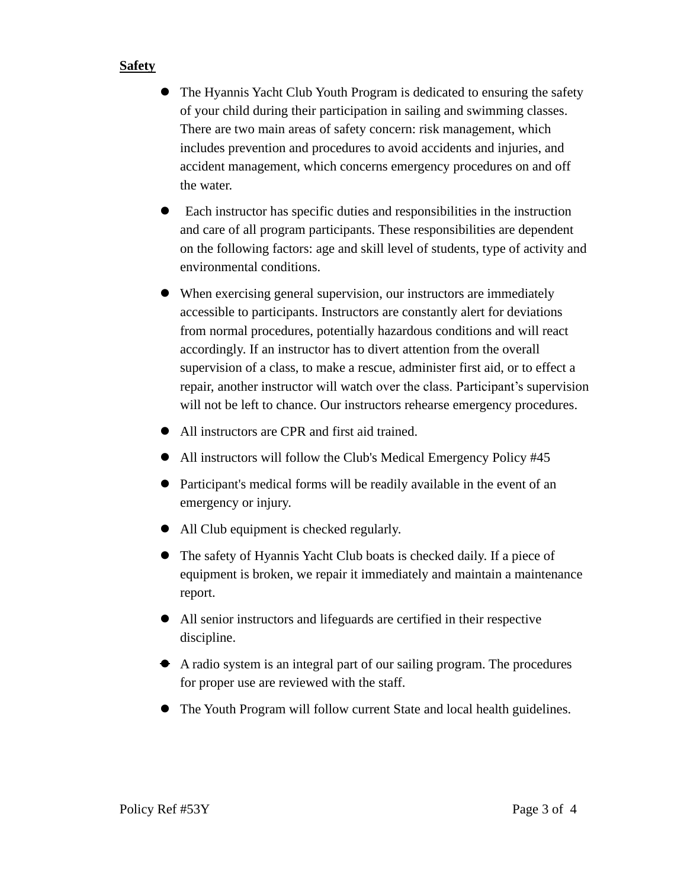### **Safety**

- ⚫ The Hyannis Yacht Club Youth Program is dedicated to ensuring the safety of your child during their participation in sailing and swimming classes. There are two main areas of safety concern: risk management, which includes prevention and procedures to avoid accidents and injuries, and accident management, which concerns emergency procedures on and off the water.
- ⚫ Each instructor has specific duties and responsibilities in the instruction and care of all program participants. These responsibilities are dependent on the following factors: age and skill level of students, type of activity and environmental conditions.
- ⚫ When exercising general supervision, our instructors are immediately accessible to participants. Instructors are constantly alert for deviations from normal procedures, potentially hazardous conditions and will react accordingly. If an instructor has to divert attention from the overall supervision of a class, to make a rescue, administer first aid, or to effect a repair, another instructor will watch over the class. Participant's supervision will not be left to chance. Our instructors rehearse emergency procedures.
- ⚫ All instructors are CPR and first aid trained.
- ⚫ All instructors will follow the Club's Medical Emergency Policy #45
- ⚫ Participant's medical forms will be readily available in the event of an emergency or injury.
- ⚫ All Club equipment is checked regularly.
- ⚫ The safety of Hyannis Yacht Club boats is checked daily. If a piece of equipment is broken, we repair it immediately and maintain a maintenance report.
- ⚫ All senior instructors and lifeguards are certified in their respective discipline.
- ⚫ A radio system is an integral part of our sailing program. The procedures for proper use are reviewed with the staff.
- ⚫ The Youth Program will follow current State and local health guidelines.